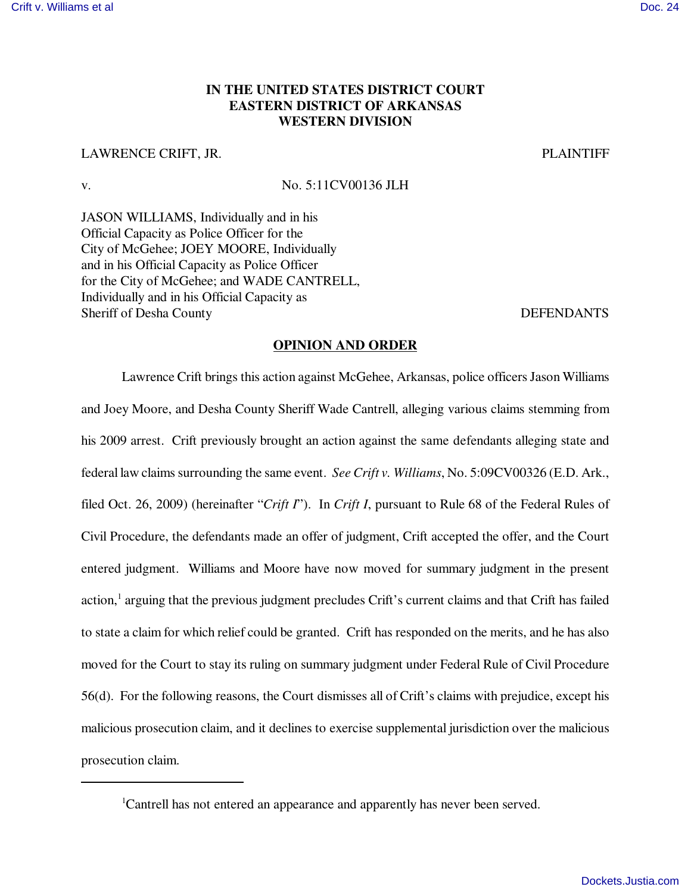## **IN THE UNITED STATES DISTRICT COURT EASTERN DISTRICT OF ARKANSAS WESTERN DIVISION**

## LAWRENCE CRIFT, JR. PLAINTIFF

v. No. 5:11CV00136 JLH

JASON WILLIAMS, Individually and in his Official Capacity as Police Officer for the City of McGehee; JOEY MOORE, Individually and in his Official Capacity as Police Officer for the City of McGehee; and WADE CANTRELL, Individually and in his Official Capacity as Sheriff of Desha County DEFENDANTS

## **OPINION AND ORDER**

Lawrence Crift brings this action against McGehee, Arkansas, police officers Jason Williams and Joey Moore, and Desha County Sheriff Wade Cantrell, alleging various claims stemming from his 2009 arrest. Crift previously brought an action against the same defendants alleging state and federal law claims surrounding the same event. *See Crift v. Williams*, No. 5:09CV00326 (E.D. Ark., filed Oct. 26, 2009) (hereinafter "*Crift I*"). In *Crift I*, pursuant to Rule 68 of the Federal Rules of Civil Procedure, the defendants made an offer of judgment, Crift accepted the offer, and the Court entered judgment. Williams and Moore have now moved for summary judgment in the present action,<sup>1</sup> arguing that the previous judgment precludes Crift's current claims and that Crift has failed to state a claim for which relief could be granted. Crift has responded on the merits, and he has also moved for the Court to stay its ruling on summary judgment under Federal Rule of Civil Procedure 56(d). For the following reasons, the Court dismisses all of Crift's claims with prejudice, except his malicious prosecution claim, and it declines to exercise supplemental jurisdiction over the malicious prosecution claim.

<sup>&</sup>lt;sup>1</sup>Cantrell has not entered an appearance and apparently has never been served.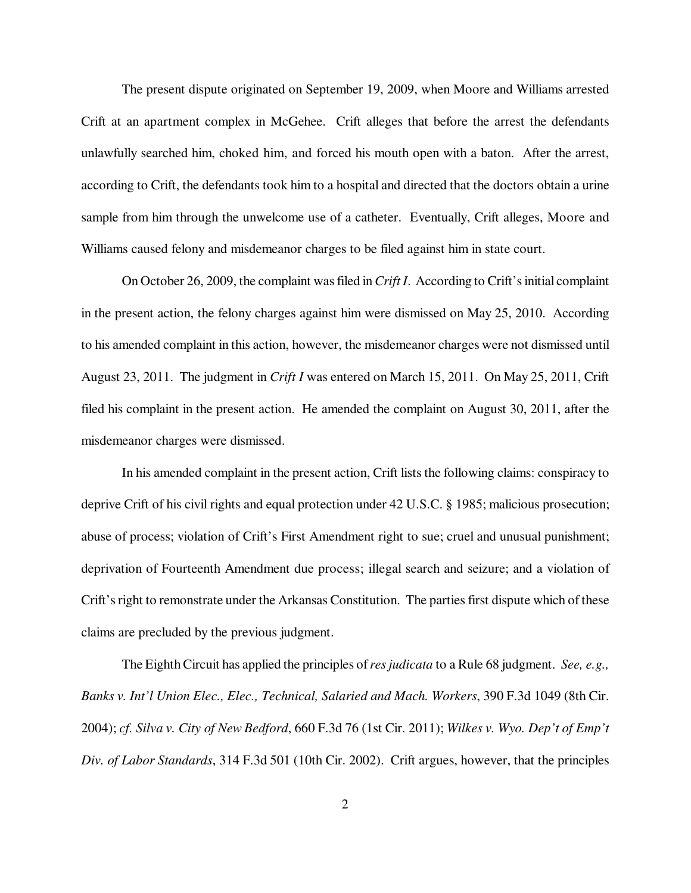The present dispute originated on September 19, 2009, when Moore and Williams arrested Crift at an apartment complex in McGehee. Crift alleges that before the arrest the defendants unlawfully searched him, choked him, and forced his mouth open with a baton. After the arrest, according to Crift, the defendants took him to a hospital and directed that the doctors obtain a urine sample from him through the unwelcome use of a catheter. Eventually, Crift alleges, Moore and Williams caused felony and misdemeanor charges to be filed against him in state court.

On October 26, 2009, the complaint was filed in *Crift I*. According to Crift's initial complaint in the present action, the felony charges against him were dismissed on May 25, 2010. According to his amended complaint in this action, however, the misdemeanor charges were not dismissed until August 23, 2011. The judgment in *Crift I* was entered on March 15, 2011. On May 25, 2011, Crift filed his complaint in the present action. He amended the complaint on August 30, 2011, after the misdemeanor charges were dismissed.

In his amended complaint in the present action, Crift lists the following claims: conspiracy to deprive Crift of his civil rights and equal protection under 42 U.S.C. § 1985; malicious prosecution; abuse of process; violation of Crift's First Amendment right to sue; cruel and unusual punishment; deprivation of Fourteenth Amendment due process; illegal search and seizure; and a violation of Crift's right to remonstrate under the Arkansas Constitution. The parties first dispute which of these claims are precluded by the previous judgment.

The Eighth Circuit has applied the principles of *res judicata* to a Rule 68 judgment. *See, e.g., Banks v. Int'l Union Elec., Elec., Technical, Salaried and Mach. Workers*, 390 F.3d 1049 (8th Cir. 2004); *cf. Silva v. City of New Bedford*, 660 F.3d 76 (1st Cir. 2011); *Wilkes v. Wyo. Dep't of Emp't Div. of Labor Standards*, 314 F.3d 501 (10th Cir. 2002). Crift argues, however, that the principles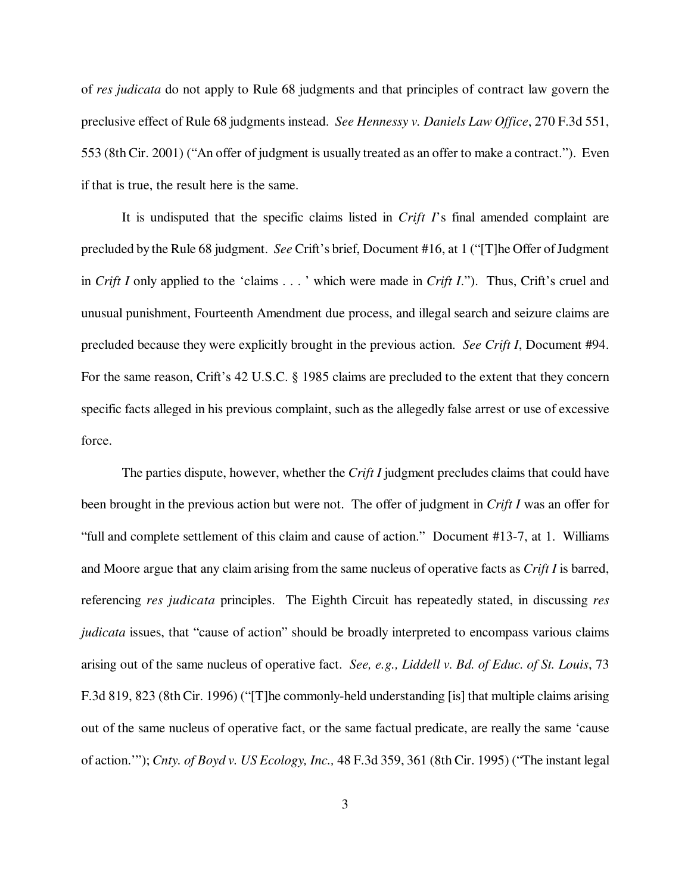of *res judicata* do not apply to Rule 68 judgments and that principles of contract law govern the preclusive effect of Rule 68 judgments instead. *See Hennessy v. Daniels Law Office*, 270 F.3d 551, 553 (8th Cir. 2001) ("An offer of judgment is usually treated as an offer to make a contract."). Even if that is true, the result here is the same.

It is undisputed that the specific claims listed in *Crift I*'s final amended complaint are precluded by the Rule 68 judgment. *See* Crift's brief, Document #16, at 1 ("[T]he Offer of Judgment in *Crift I* only applied to the 'claims . . . ' which were made in *Crift I*."). Thus, Crift's cruel and unusual punishment, Fourteenth Amendment due process, and illegal search and seizure claims are precluded because they were explicitly brought in the previous action. *See Crift I*, Document #94. For the same reason, Crift's 42 U.S.C. § 1985 claims are precluded to the extent that they concern specific facts alleged in his previous complaint, such as the allegedly false arrest or use of excessive force.

The parties dispute, however, whether the *Crift I* judgment precludes claims that could have been brought in the previous action but were not. The offer of judgment in *Crift I* was an offer for "full and complete settlement of this claim and cause of action." Document #13-7, at 1. Williams and Moore argue that any claim arising from the same nucleus of operative facts as *Crift I* is barred, referencing *res judicata* principles. The Eighth Circuit has repeatedly stated, in discussing *res judicata* issues, that "cause of action" should be broadly interpreted to encompass various claims arising out of the same nucleus of operative fact. *See, e.g., Liddell v. Bd. of Educ. of St. Louis*, 73 F.3d 819, 823 (8th Cir. 1996) ("[T]he commonly-held understanding [is] that multiple claims arising out of the same nucleus of operative fact, or the same factual predicate, are really the same 'cause of action.'"); *Cnty. of Boyd v. US Ecology, Inc.,* 48 F.3d 359, 361 (8th Cir. 1995) ("The instant legal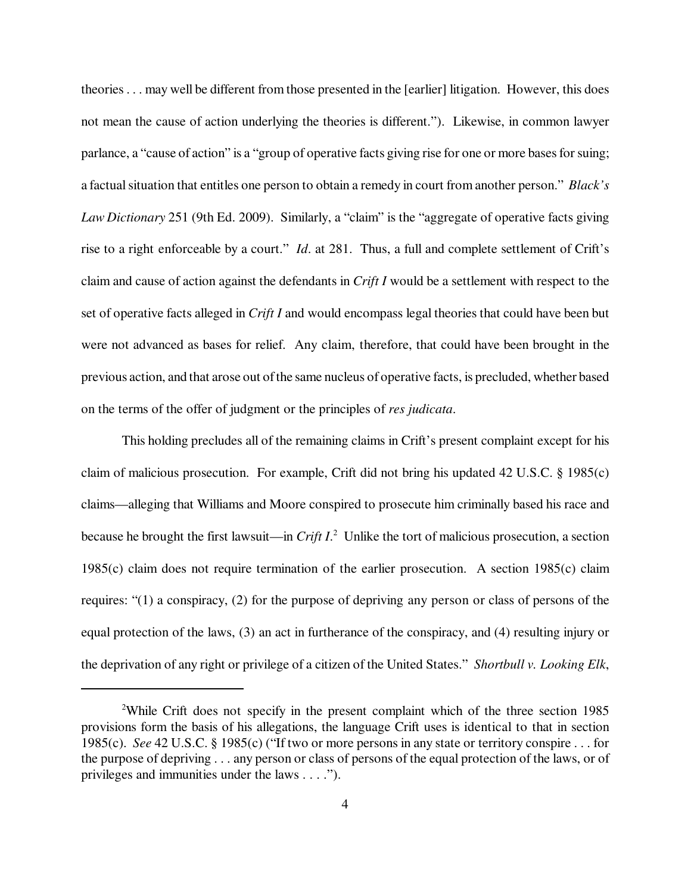theories . . . may well be different from those presented in the [earlier] litigation. However, this does not mean the cause of action underlying the theories is different."). Likewise, in common lawyer parlance, a "cause of action" is a "group of operative facts giving rise for one or more bases for suing; a factual situation that entitles one person to obtain a remedy in court from another person." *Black's Law Dictionary* 251 (9th Ed. 2009). Similarly, a "claim" is the "aggregate of operative facts giving rise to a right enforceable by a court." *Id*. at 281. Thus, a full and complete settlement of Crift's claim and cause of action against the defendants in *Crift I* would be a settlement with respect to the set of operative facts alleged in *Crift I* and would encompass legal theories that could have been but were not advanced as bases for relief. Any claim, therefore, that could have been brought in the previous action, and that arose out of the same nucleus of operative facts, is precluded, whether based on the terms of the offer of judgment or the principles of *res judicata*.

This holding precludes all of the remaining claims in Crift's present complaint except for his claim of malicious prosecution. For example, Crift did not bring his updated 42 U.S.C. § 1985(c) claims—alleging that Williams and Moore conspired to prosecute him criminally based his race and because he brought the first lawsuit—in *Crift I*. 2 Unlike the tort of malicious prosecution, a section 1985(c) claim does not require termination of the earlier prosecution. A section 1985(c) claim requires: "(1) a conspiracy, (2) for the purpose of depriving any person or class of persons of the equal protection of the laws, (3) an act in furtherance of the conspiracy, and (4) resulting injury or the deprivation of any right or privilege of a citizen of the United States." *Shortbull v. Looking Elk*,

<sup>2</sup>While Crift does not specify in the present complaint which of the three section 1985 provisions form the basis of his allegations, the language Crift uses is identical to that in section 1985(c). *See* 42 U.S.C. § 1985(c) ("If two or more persons in any state or territory conspire . . . for the purpose of depriving . . . any person or class of persons of the equal protection of the laws, or of privileges and immunities under the laws . . . .").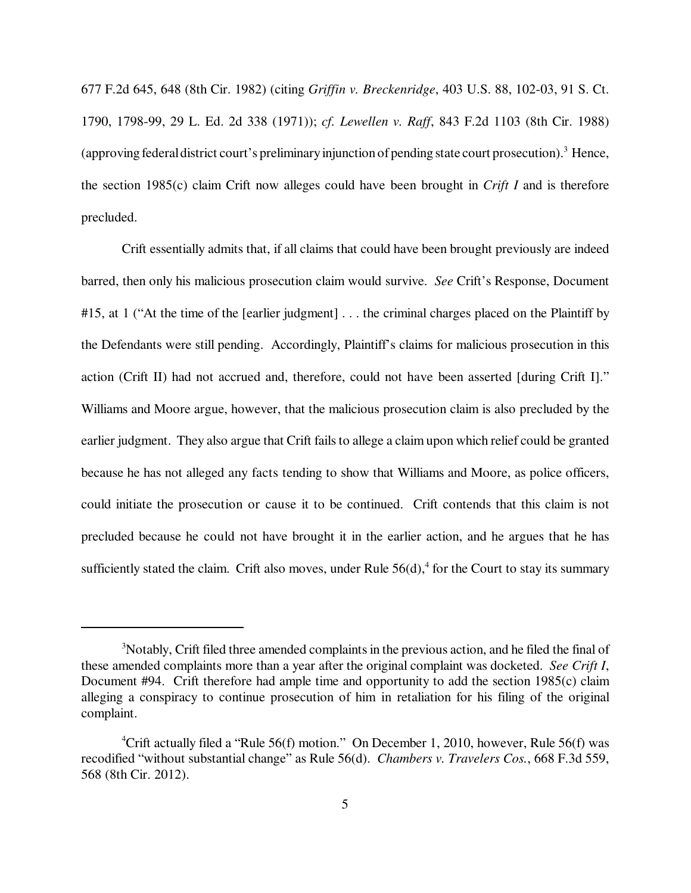677 F.2d 645, 648 (8th Cir. 1982) (citing *Griffin v. Breckenridge*, 403 U.S. 88, 102-03, 91 S. Ct. 1790, 1798-99, 29 L. Ed. 2d 338 (1971)); *cf. Lewellen v. Raff*, 843 F.2d 1103 (8th Cir. 1988) (approving federal district court's preliminary injunction of pending state court prosecution).<sup>3</sup> Hence, the section 1985(c) claim Crift now alleges could have been brought in *Crift I* and is therefore precluded.

Crift essentially admits that, if all claims that could have been brought previously are indeed barred, then only his malicious prosecution claim would survive. *See* Crift's Response, Document #15, at 1 ("At the time of the [earlier judgment] . . . the criminal charges placed on the Plaintiff by the Defendants were still pending. Accordingly, Plaintiff's claims for malicious prosecution in this action (Crift II) had not accrued and, therefore, could not have been asserted [during Crift I]." Williams and Moore argue, however, that the malicious prosecution claim is also precluded by the earlier judgment. They also argue that Crift fails to allege a claim upon which relief could be granted because he has not alleged any facts tending to show that Williams and Moore, as police officers, could initiate the prosecution or cause it to be continued. Crift contends that this claim is not precluded because he could not have brought it in the earlier action, and he argues that he has sufficiently stated the claim. Crift also moves, under Rule  $56(d)$ ,<sup>4</sup> for the Court to stay its summary

<sup>&</sup>lt;sup>3</sup>Notably, Crift filed three amended complaints in the previous action, and he filed the final of these amended complaints more than a year after the original complaint was docketed. *See Crift I*, Document #94. Crift therefore had ample time and opportunity to add the section 1985(c) claim alleging a conspiracy to continue prosecution of him in retaliation for his filing of the original complaint.

<sup>&</sup>lt;sup>4</sup>Crift actually filed a "Rule 56(f) motion." On December 1, 2010, however, Rule 56(f) was recodified "without substantial change" as Rule 56(d). *Chambers v. Travelers Cos.*, 668 F.3d 559, 568 (8th Cir. 2012).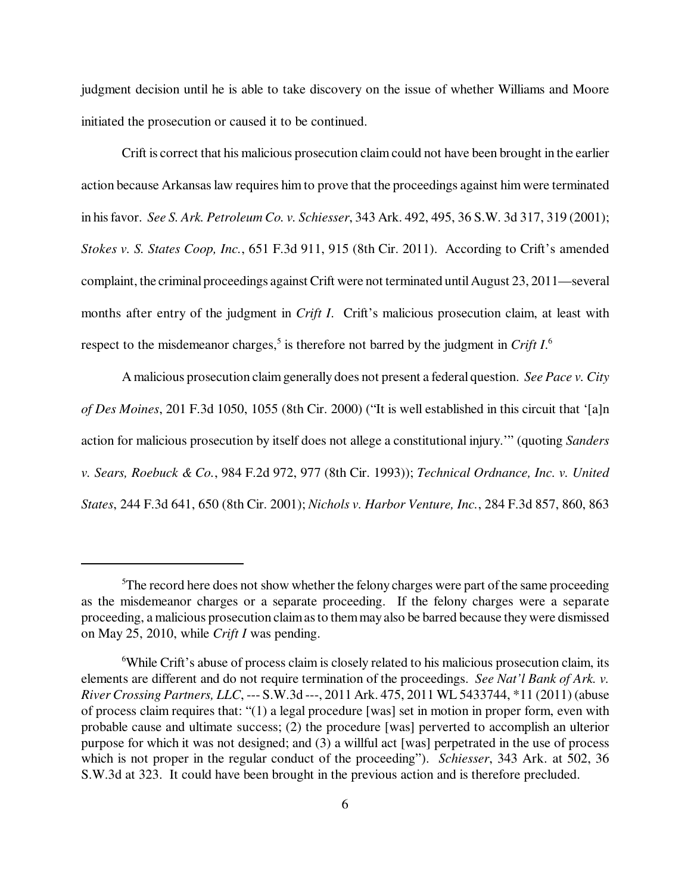judgment decision until he is able to take discovery on the issue of whether Williams and Moore initiated the prosecution or caused it to be continued.

Crift is correct that his malicious prosecution claim could not have been brought in the earlier action because Arkansas law requires him to prove that the proceedings against him were terminated in his favor. *See S. Ark. Petroleum Co. v. Schiesser*, 343 Ark. 492, 495, 36 S.W. 3d 317, 319 (2001); *Stokes v. S. States Coop, Inc.*, 651 F.3d 911, 915 (8th Cir. 2011). According to Crift's amended complaint, the criminal proceedings against Crift were not terminated until August 23, 2011—several months after entry of the judgment in *Crift I*. Crift's malicious prosecution claim, at least with respect to the misdemeanor charges,<sup>5</sup> is therefore not barred by the judgment in *Crift I*.<sup>6</sup>

A malicious prosecution claim generally does not present a federal question. *See Pace v. City of Des Moines*, 201 F.3d 1050, 1055 (8th Cir. 2000) ("It is well established in this circuit that '[a]n action for malicious prosecution by itself does not allege a constitutional injury.'" (quoting *Sanders v. Sears, Roebuck & Co.*, 984 F.2d 972, 977 (8th Cir. 1993)); *Technical Ordnance, Inc. v. United States*, 244 F.3d 641, 650 (8th Cir. 2001); *Nichols v. Harbor Venture, Inc.*, 284 F.3d 857, 860, 863

<sup>&</sup>lt;sup>5</sup>The record here does not show whether the felony charges were part of the same proceeding as the misdemeanor charges or a separate proceeding. If the felony charges were a separate proceeding, a malicious prosecution claim as to them may also be barred because they were dismissed on May 25, 2010, while *Crift I* was pending.

<sup>&</sup>lt;sup>6</sup>While Crift's abuse of process claim is closely related to his malicious prosecution claim, its elements are different and do not require termination of the proceedings. *See Nat'l Bank of Ark. v. River Crossing Partners, LLC*, --- S.W.3d ---, 2011 Ark. 475, 2011 WL 5433744, \*11 (2011) (abuse of process claim requires that: "(1) a legal procedure [was] set in motion in proper form, even with probable cause and ultimate success; (2) the procedure [was] perverted to accomplish an ulterior purpose for which it was not designed; and (3) a willful act [was] perpetrated in the use of process which is not proper in the regular conduct of the proceeding"). *Schiesser*, 343 Ark. at 502, 36 S.W.3d at 323. It could have been brought in the previous action and is therefore precluded.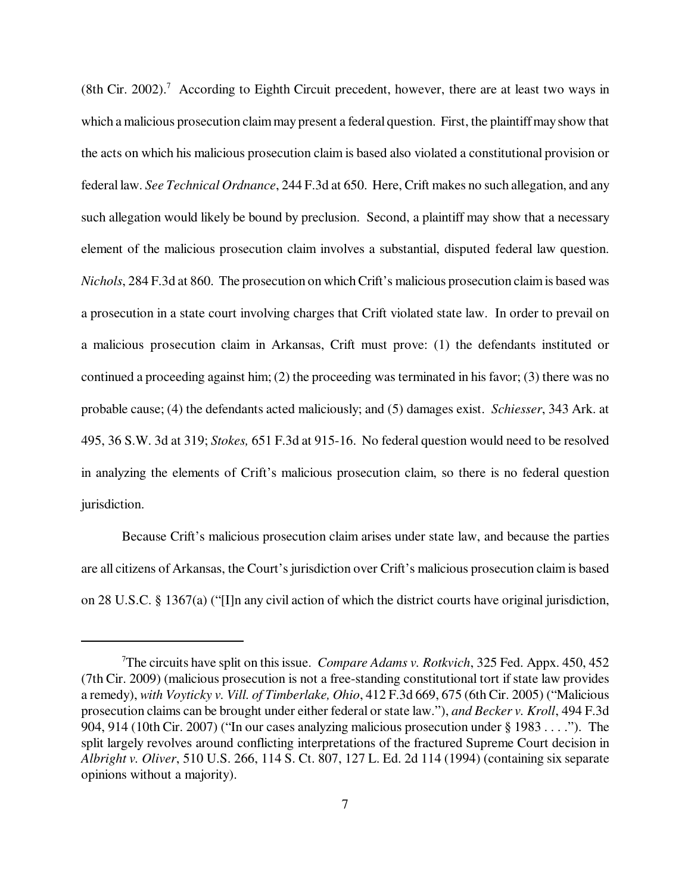(8th Cir. 2002).<sup>7</sup> According to Eighth Circuit precedent, however, there are at least two ways in which a malicious prosecution claim may present a federal question. First, the plaintiff may show that the acts on which his malicious prosecution claim is based also violated a constitutional provision or federal law. *See Technical Ordnance*, 244 F.3d at 650. Here, Crift makes no such allegation, and any such allegation would likely be bound by preclusion. Second, a plaintiff may show that a necessary element of the malicious prosecution claim involves a substantial, disputed federal law question. *Nichols*, 284 F.3d at 860. The prosecution on which Crift's malicious prosecution claim is based was a prosecution in a state court involving charges that Crift violated state law. In order to prevail on a malicious prosecution claim in Arkansas, Crift must prove: (1) the defendants instituted or continued a proceeding against him; (2) the proceeding was terminated in his favor; (3) there was no probable cause; (4) the defendants acted maliciously; and (5) damages exist. *Schiesser*, 343 Ark. at 495, 36 S.W. 3d at 319; *Stokes,* 651 F.3d at 915-16. No federal question would need to be resolved in analyzing the elements of Crift's malicious prosecution claim, so there is no federal question jurisdiction.

Because Crift's malicious prosecution claim arises under state law, and because the parties are all citizens of Arkansas, the Court's jurisdiction over Crift's malicious prosecution claim is based on 28 U.S.C. § 1367(a) ("[I]n any civil action of which the district courts have original jurisdiction,

<sup>7</sup>The circuits have split on this issue. *Compare Adams v. Rotkvich*, 325 Fed. Appx. 450, 452 (7th Cir. 2009) (malicious prosecution is not a free-standing constitutional tort if state law provides a remedy), *with Voyticky v. Vill. of Timberlake, Ohio*, 412 F.3d 669, 675 (6th Cir. 2005) ("Malicious prosecution claims can be brought under either federal or state law."), *and Becker v. Kroll*, 494 F.3d 904, 914 (10th Cir. 2007) ("In our cases analyzing malicious prosecution under § 1983 . . . ."). The split largely revolves around conflicting interpretations of the fractured Supreme Court decision in *Albright v. Oliver*, 510 U.S. 266, 114 S. Ct. 807, 127 L. Ed. 2d 114 (1994) (containing six separate opinions without a majority).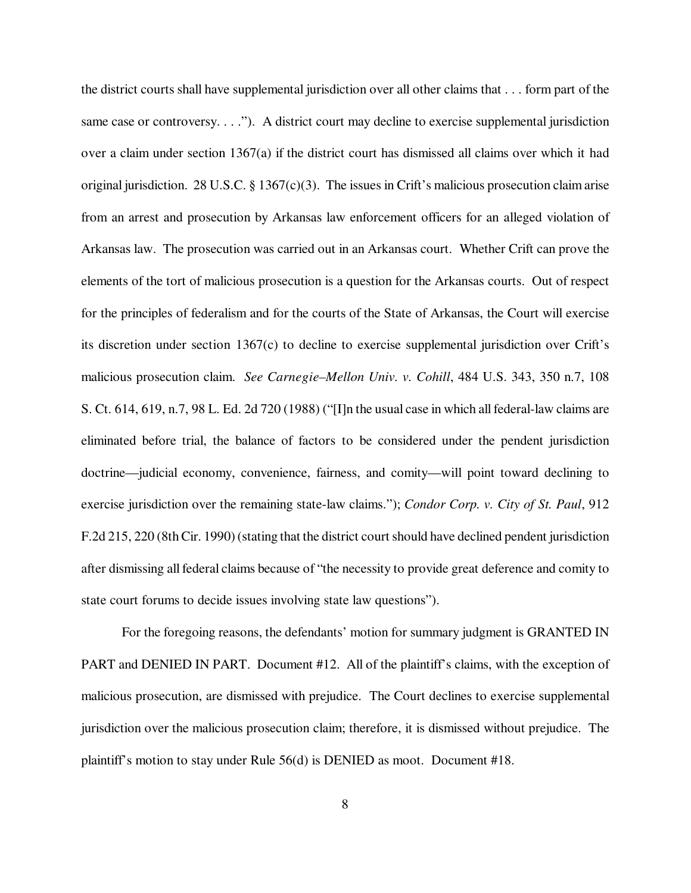the district courts shall have supplemental jurisdiction over all other claims that . . . form part of the same case or controversy. . . ."). A district court may decline to exercise supplemental jurisdiction over a claim under section 1367(a) if the district court has dismissed all claims over which it had original jurisdiction. 28 U.S.C. § 1367(c)(3). The issues in Crift's malicious prosecution claim arise from an arrest and prosecution by Arkansas law enforcement officers for an alleged violation of Arkansas law. The prosecution was carried out in an Arkansas court. Whether Crift can prove the elements of the tort of malicious prosecution is a question for the Arkansas courts. Out of respect for the principles of federalism and for the courts of the State of Arkansas, the Court will exercise its discretion under section 1367(c) to decline to exercise supplemental jurisdiction over Crift's malicious prosecution claim. *See Carnegie–Mellon Univ. v. Cohill*, 484 U.S. 343, 350 n.7, 108 S. Ct. 614, 619, n.7, 98 L. Ed. 2d 720 (1988) ("[I]n the usual case in which all federal-law claims are eliminated before trial, the balance of factors to be considered under the pendent jurisdiction doctrine—judicial economy, convenience, fairness, and comity—will point toward declining to exercise jurisdiction over the remaining state-law claims."); *Condor Corp. v. City of St. Paul*, 912 F.2d 215, 220 (8th Cir. 1990) (stating that the district court should have declined pendent jurisdiction after dismissing all federal claims because of "the necessity to provide great deference and comity to state court forums to decide issues involving state law questions").

For the foregoing reasons, the defendants' motion for summary judgment is GRANTED IN PART and DENIED IN PART. Document #12. All of the plaintiff's claims, with the exception of malicious prosecution, are dismissed with prejudice. The Court declines to exercise supplemental jurisdiction over the malicious prosecution claim; therefore, it is dismissed without prejudice. The plaintiff's motion to stay under Rule 56(d) is DENIED as moot. Document #18.